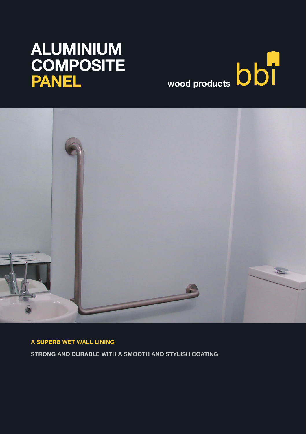# wood products **bbi**

# ALUMINIUM **COMPOSITE** PANEL



A SUPERB WET WALL LINING

STRONG AND DURABLE WITH A SMOOTH AND STYLISH COATING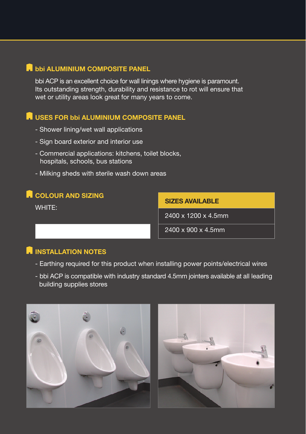# **A** bbi ALUMINIUM COMPOSITE PANEL

bbi ACP is an excellent choice for wall linings where hygiene is paramount. Its outstanding strength, durability and resistance to rot will ensure that wet or utility areas look great for many years to come.

# **R** USES FOR bbi ALUMINIUM COMPOSITE PANEL

- Shower lining/wet wall applications
- Sign board exterior and interior use
- Commercial applications: kitchens, toilet blocks, hospitals, schools, bus stations
- Milking sheds with sterile wash down areas

# **R** COLOUR AND SIZING

WHITE:

SIZES AVAILABLE

2400 x 1200 x 4.5mm

2400 x 900 x 4.5mm

# **N** INSTALLATION NOTES

- Earthing required for this product when installing power points/electrical wires
- bbi ACP is compatible with industry standard 4.5mm jointers available at all leading building supplies stores



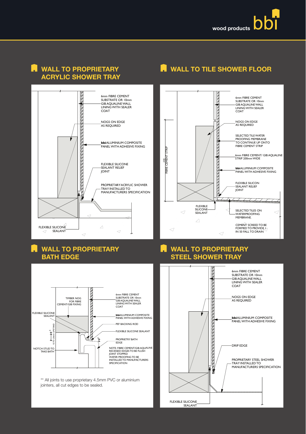

# Acrylic Shower Tray





## WALL TO PROPRIETARY **BATH EDGE**



\*\* All joints to use proprietary 4.5mm PVC or aluminium<br>ipintors, all gut odges to be socied jointers, all cut edges to be sealed.



#### WALL TO PROPRIETARY n Steel Shower Tray